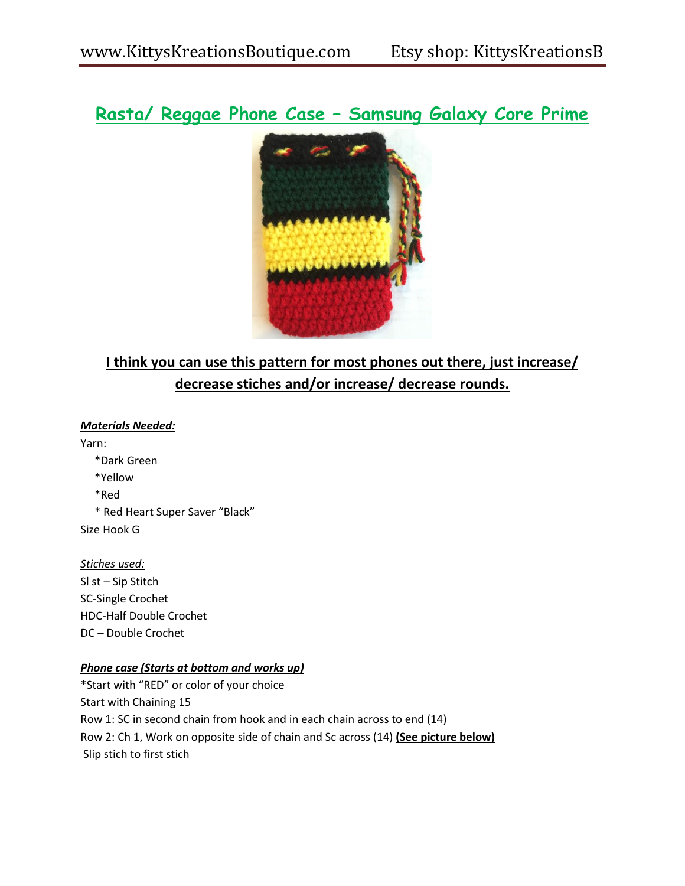# **Rasta/ Reggae Phone Case – Samsung Galaxy Core Prime**



## **I think you can use this pattern for most phones out there, just increase/ decrease stiches and/or increase/ decrease rounds.**

*Materials Needed:*

Yarn: \*Dark Green \*Yellow \*Red \* Red Heart Super Saver "Black" Size Hook G

## *Stiches used:*

Sl st – Sip Stitch SC-Single Crochet HDC-Half Double Crochet DC – Double Crochet

## *Phone case (Starts at bottom and works up)*

\*Start with "RED" or color of your choice Start with Chaining 15 Row 1: SC in second chain from hook and in each chain across to end (14) Row 2: Ch 1, Work on opposite side of chain and Sc across (14) **(See picture below)** Slip stich to first stich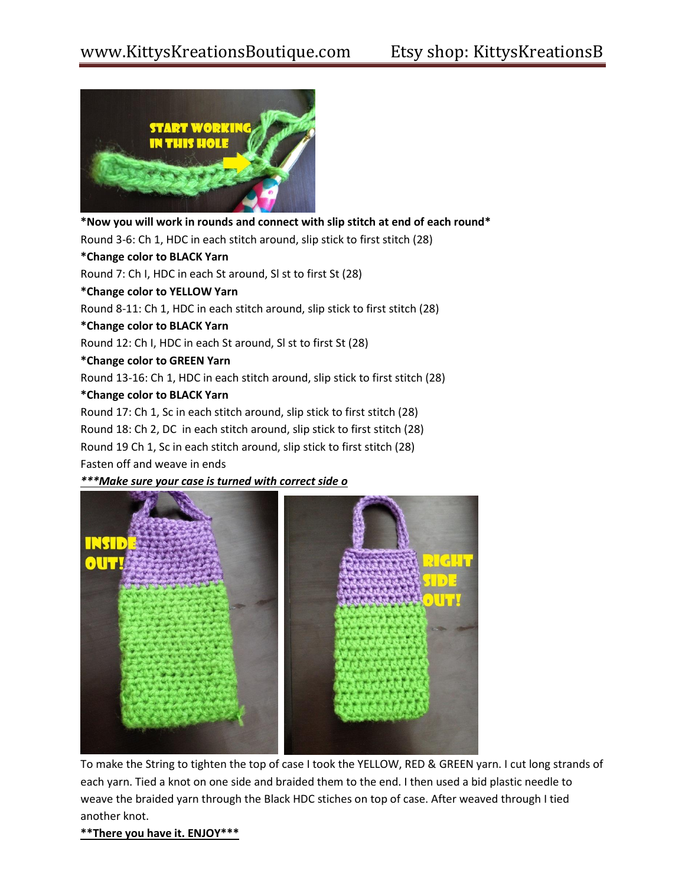

**\*Now you will work in rounds and connect with slip stitch at end of each round\*** Round 3-6: Ch 1, HDC in each stitch around, slip stick to first stitch (28) **\*Change color to BLACK Yarn**

Round 7: Ch I, HDC in each St around, Sl st to first St (28)

**\*Change color to YELLOW Yarn**

Round 8-11: Ch 1, HDC in each stitch around, slip stick to first stitch (28)

**\*Change color to BLACK Yarn**

Round 12: Ch I, HDC in each St around, Sl st to first St (28)

#### **\*Change color to GREEN Yarn**

Round 13-16: Ch 1, HDC in each stitch around, slip stick to first stitch (28)

#### **\*Change color to BLACK Yarn**

Round 17: Ch 1, Sc in each stitch around, slip stick to first stitch (28)

Round 18: Ch 2, DC in each stitch around, slip stick to first stitch (28)

Round 19 Ch 1, Sc in each stitch around, slip stick to first stitch (28)

Fasten off and weave in ends

#### *\*\*\*Make sure your case is turned with correct side o*



To make the String to tighten the top of case I took the YELLOW, RED & GREEN yarn. I cut long strands of each yarn. Tied a knot on one side and braided them to the end. I then used a bid plastic needle to weave the braided yarn through the Black HDC stiches on top of case. After weaved through I tied another knot.

#### **\*\*There you have it. ENJOY\*\*\***